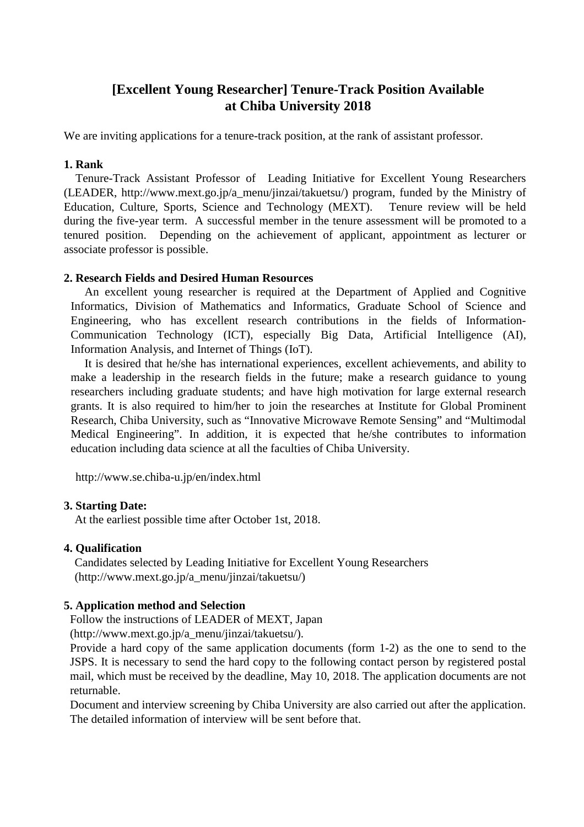# **[Excellent Young Researcher] Tenure-Track Position Available at Chiba University 2018**

We are inviting applications for a tenure-track position, at the rank of assistant professor.

#### **1. Rank**

Tenure-Track Assistant Professor of Leading Initiative for Excellent Young Researchers (LEADER, http://www.mext.go.jp/a\_menu/jinzai/takuetsu/) program, funded by the Ministry of Education, Culture, Sports, Science and Technology (MEXT). Tenure review will be held during the five-year term. A successful member in the tenure assessment will be promoted to a tenured position. Depending on the achievement of applicant, appointment as lecturer or associate professor is possible.

### **2. Research Fields and Desired Human Resources**

An excellent young researcher is required at the Department of Applied and Cognitive Informatics, Division of Mathematics and Informatics, Graduate School of Science and Engineering, who has excellent research contributions in the fields of Information-Communication Technology (ICT), especially Big Data, Artificial Intelligence (AI), Information Analysis, and Internet of Things (IoT).

It is desired that he/she has international experiences, excellent achievements, and ability to make a leadership in the research fields in the future; make a research guidance to young researchers including graduate students; and have high motivation for large external research grants. It is also required to him/her to join the researches at Institute for Global Prominent Research, Chiba University, such as "Innovative Microwave Remote Sensing" and "Multimodal Medical Engineering". In addition, it is expected that he/she contributes to information education including data science at all the faculties of Chiba University.

http://www.se.chiba-u.jp/en/index.html

#### **3. Starting Date:**

At the earliest possible time after October 1st, 2018.

# **4. Qualification**

Candidates selected by Leading Initiative for Excellent Young Researchers (http://www.mext.go.jp/a\_menu/jinzai/takuetsu/)

# **5. Application method and Selection**

Follow the instructions of LEADER of MEXT, Japan

(http://www.mext.go.jp/a\_menu/jinzai/takuetsu/).

Provide a hard copy of the same application documents (form 1-2) as the one to send to the JSPS. It is necessary to send the hard copy to the following contact person by registered postal mail, which must be received by the deadline, May 10, 2018. The application documents are not returnable.

Document and interview screening by Chiba University are also carried out after the application. The detailed information of interview will be sent before that.